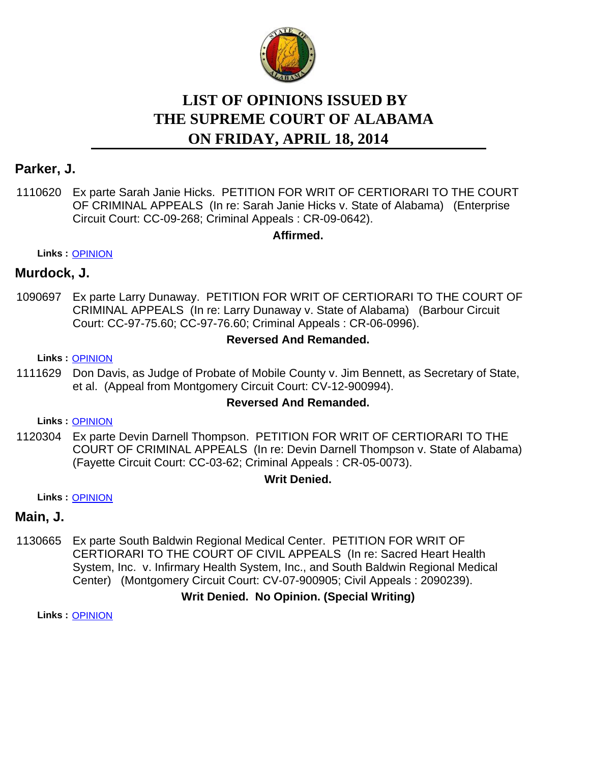

# **LIST OF OPINIONS ISSUED BY ON FRIDAY, APRIL 18, 2014 THE SUPREME COURT OF ALABAMA**

## **Parker, J.**

1110620 Ex parte Sarah Janie Hicks. PETITION FOR WRIT OF CERTIORARI TO THE COURT OF CRIMINAL APPEALS (In re: Sarah Janie Hicks v. State of Alabama) (Enterprise Circuit Court: CC-09-268; Criminal Appeals : CR-09-0642).

**Affirmed.**

**Links :** [OPINION](https://acis.alabama.gov/displaydocs.cfm?no=572017&event=41Q0MPQP1)

## **Murdock, J.**

1090697 Ex parte Larry Dunaway. PETITION FOR WRIT OF CERTIORARI TO THE COURT OF CRIMINAL APPEALS (In re: Larry Dunaway v. State of Alabama) (Barbour Circuit Court: CC-97-75.60; CC-97-76.60; Criminal Appeals : CR-06-0996).

#### **Reversed And Remanded.**

#### **Links :** [OPINION](https://acis.alabama.gov/displaydocs.cfm?no=572016&event=41Q0MPQBO)

1111629 Don Davis, as Judge of Probate of Mobile County v. Jim Bennett, as Secretary of State, et al. (Appeal from Montgomery Circuit Court: CV-12-900994).

#### **Reversed And Remanded.**

**Links :** [OPINION](https://acis.alabama.gov/displaydocs.cfm?no=572018&event=41Q0MPR04)

1120304 Ex parte Devin Darnell Thompson. PETITION FOR WRIT OF CERTIORARI TO THE COURT OF CRIMINAL APPEALS (In re: Devin Darnell Thompson v. State of Alabama) (Fayette Circuit Court: CC-03-62; Criminal Appeals : CR-05-0073).

#### **Writ Denied.**

**Links :** [OPINION](https://acis.alabama.gov/displaydocs.cfm?no=572019&event=41Q0MPR6I)

## **Main, J.**

1130665 Ex parte South Baldwin Regional Medical Center. PETITION FOR WRIT OF CERTIORARI TO THE COURT OF CIVIL APPEALS (In re: Sacred Heart Health System, Inc. v. Infirmary Health System, Inc., and South Baldwin Regional Medical Center) (Montgomery Circuit Court: CV-07-900905; Civil Appeals : 2090239).

## **Writ Denied. No Opinion. (Special Writing)**

**Links :** [OPINION](https://acis.alabama.gov/displaydocs.cfm?no=572021&event=41Q0MPRPO)